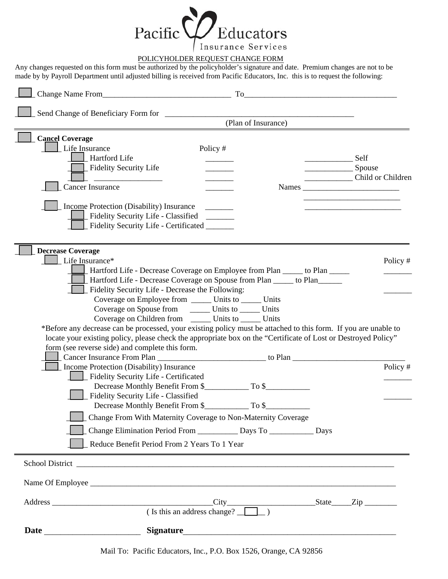

## POLICYHOLDER REQUEST CHANGE FORM

Any changes requested on this form must be authorized by the policyholder's signature and date. Premium changes are not to be made by by Payroll Department until adjusted billing is received from Pacific Educators, Inc. this is to request the following:

|                                                                                                                                                                                                                                                                                                                                                                                                                                                                                                                              |                                                      | (Plan of Insurance)                                                                                                   |                |                   |
|------------------------------------------------------------------------------------------------------------------------------------------------------------------------------------------------------------------------------------------------------------------------------------------------------------------------------------------------------------------------------------------------------------------------------------------------------------------------------------------------------------------------------|------------------------------------------------------|-----------------------------------------------------------------------------------------------------------------------|----------------|-------------------|
| <b>Cancel Coverage</b><br>Life Insurance<br>Hartford Life<br>Fidelity Security Life<br>Cancer Insurance<br>Income Protection (Disability) Insurance                                                                                                                                                                                                                                                                                                                                                                          | Policy #                                             |                                                                                                                       | Self<br>Spouse | Child or Children |
| Fidelity Security Life - Classified<br>Fidelity Security Life - Certificated ______                                                                                                                                                                                                                                                                                                                                                                                                                                          |                                                      |                                                                                                                       |                |                   |
| <b>Decrease Coverage</b><br>Life Insurance*<br>Hartford Life - Decrease Coverage on Employee from Plan _____ to Plan _____<br>Hartford Life - Decrease Coverage on Spouse from Plan ______ to Plan______                                                                                                                                                                                                                                                                                                                     |                                                      |                                                                                                                       |                | Policy #          |
| Fidelity Security Life - Decrease the Following:<br>Coverage on Employee from _______ Units to ______ Units<br>Coverage on Spouse from ________ Units to _______ Units<br>Coverage on Children from _________ Units to _______ Units<br>*Before any decrease can be processed, your existing policy must be attached to this form. If you are unable to<br>locate your existing policy, please check the appropriate box on the "Certificate of Lost or Destroyed Policy"<br>form (see reverse side) and complete this form. |                                                      |                                                                                                                       |                |                   |
| Income Protection (Disability) Insurance<br>Fidelity Security Life - Certificated<br>Fidelity Security Life - Classified                                                                                                                                                                                                                                                                                                                                                                                                     |                                                      |                                                                                                                       |                | Policy #          |
| Change From With Maternity Coverage to Non-Maternity Coverage<br>Change Elimination Period From _____________ Days To ______________ Days<br>Reduce Benefit Period From 2 Years To 1 Year                                                                                                                                                                                                                                                                                                                                    |                                                      | <u> 1989 - Johann Stoff, deutscher Stoff, der Stoff, der Stoff, der Stoff, der Stoff, der Stoff, der Stoff, der S</u> |                |                   |
| School District the contract of the contract of the contract of the contract of the contract of the contract of the contract of the contract of the contract of the contract of the contract of the contract of the contract o                                                                                                                                                                                                                                                                                               |                                                      |                                                                                                                       |                |                   |
|                                                                                                                                                                                                                                                                                                                                                                                                                                                                                                                              |                                                      |                                                                                                                       |                |                   |
|                                                                                                                                                                                                                                                                                                                                                                                                                                                                                                                              | City<br>City<br>City<br>State<br>Zip<br>State<br>Zip |                                                                                                                       |                |                   |
|                                                                                                                                                                                                                                                                                                                                                                                                                                                                                                                              |                                                      |                                                                                                                       |                |                   |

Mail To: Pacific Educators, Inc., P.O. Box 1526, Orange, CA 92856